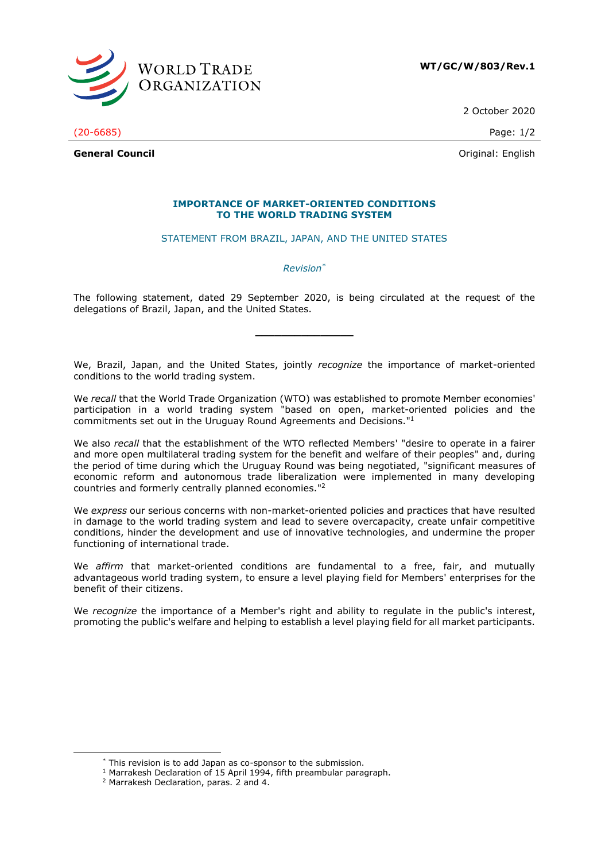

2 October 2020

(20-6685) Page: 1/2

**General Council** Community Council Council Council Council Council Council Council Council Council Council Council Council Council Council Council Council Council Council Council Council Council Council Council Council Co

## **IMPORTANCE OF MARKET-ORIENTED CONDITIONS TO THE WORLD TRADING SYSTEM**

STATEMENT FROM BRAZIL, JAPAN, AND THE UNITED STATES

*Revision\**

The following statement, dated 29 September 2020, is being circulated at the request of the delegations of Brazil, Japan, and the United States.

**\_\_\_\_\_\_\_\_\_\_\_\_\_\_\_**

We, Brazil, Japan, and the United States, jointly *recognize* the importance of market-oriented conditions to the world trading system.

We *recall* that the World Trade Organization (WTO) was established to promote Member economies' participation in a world trading system "based on open, market-oriented policies and the commitments set out in the Uruguay Round Agreements and Decisions." 1

We also *recall* that the establishment of the WTO reflected Members' "desire to operate in a fairer and more open multilateral trading system for the benefit and welfare of their peoples" and, during the period of time during which the Uruguay Round was being negotiated, "significant measures of economic reform and autonomous trade liberalization were implemented in many developing countries and formerly centrally planned economies." 2

We *express* our serious concerns with non-market-oriented policies and practices that have resulted in damage to the world trading system and lead to severe overcapacity, create unfair competitive conditions, hinder the development and use of innovative technologies, and undermine the proper functioning of international trade.

We *affirm* that market-oriented conditions are fundamental to a free, fair, and mutually advantageous world trading system, to ensure a level playing field for Members' enterprises for the benefit of their citizens.

We *recognize* the importance of a Member's right and ability to regulate in the public's interest, promoting the public's welfare and helping to establish a level playing field for all market participants.

<sup>\*</sup> This revision is to add Japan as co-sponsor to the submission.

<sup>&</sup>lt;sup>1</sup> Marrakesh Declaration of 15 April 1994, fifth preambular paragraph.

<sup>2</sup> Marrakesh Declaration, paras. 2 and 4.